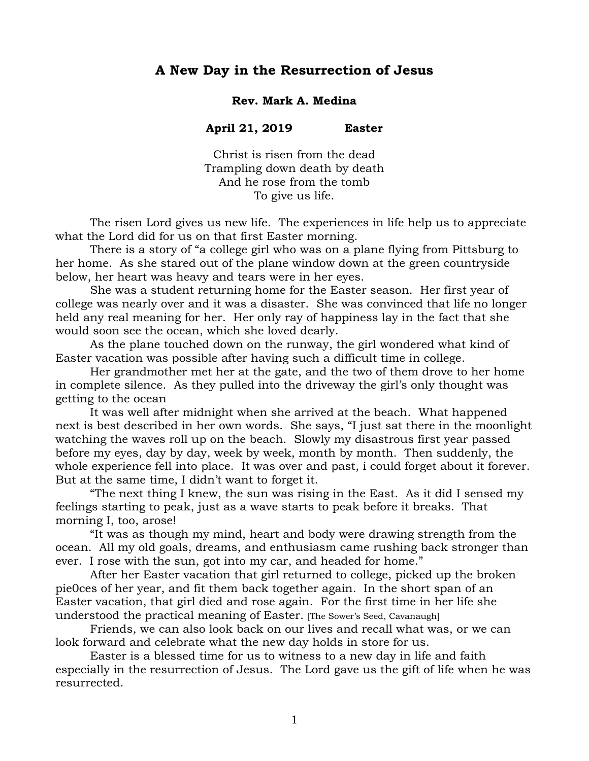# **A New Day in the Resurrection of Jesus**

### **Rev. Mark A. Medina**

#### **April 21, 2019 Easter**

Christ is risen from the dead Trampling down death by death And he rose from the tomb To give us life.

The risen Lord gives us new life. The experiences in life help us to appreciate what the Lord did for us on that first Easter morning.

There is a story of "a college girl who was on a plane flying from Pittsburg to her home. As she stared out of the plane window down at the green countryside below, her heart was heavy and tears were in her eyes.

She was a student returning home for the Easter season. Her first year of college was nearly over and it was a disaster. She was convinced that life no longer held any real meaning for her. Her only ray of happiness lay in the fact that she would soon see the ocean, which she loved dearly.

As the plane touched down on the runway, the girl wondered what kind of Easter vacation was possible after having such a difficult time in college.

Her grandmother met her at the gate, and the two of them drove to her home in complete silence. As they pulled into the driveway the girl's only thought was getting to the ocean

It was well after midnight when she arrived at the beach. What happened next is best described in her own words. She says, "I just sat there in the moonlight watching the waves roll up on the beach. Slowly my disastrous first year passed before my eyes, day by day, week by week, month by month. Then suddenly, the whole experience fell into place. It was over and past, i could forget about it forever. But at the same time, I didn't want to forget it.

"The next thing I knew, the sun was rising in the East. As it did I sensed my feelings starting to peak, just as a wave starts to peak before it breaks. That morning I, too, arose!

"It was as though my mind, heart and body were drawing strength from the ocean. All my old goals, dreams, and enthusiasm came rushing back stronger than ever. I rose with the sun, got into my car, and headed for home."

After her Easter vacation that girl returned to college, picked up the broken pie0ces of her year, and fit them back together again. In the short span of an Easter vacation, that girl died and rose again. For the first time in her life she understood the practical meaning of Easter. [The Sower's Seed, Cavanaugh]

Friends, we can also look back on our lives and recall what was, or we can look forward and celebrate what the new day holds in store for us.

Easter is a blessed time for us to witness to a new day in life and faith especially in the resurrection of Jesus. The Lord gave us the gift of life when he was resurrected.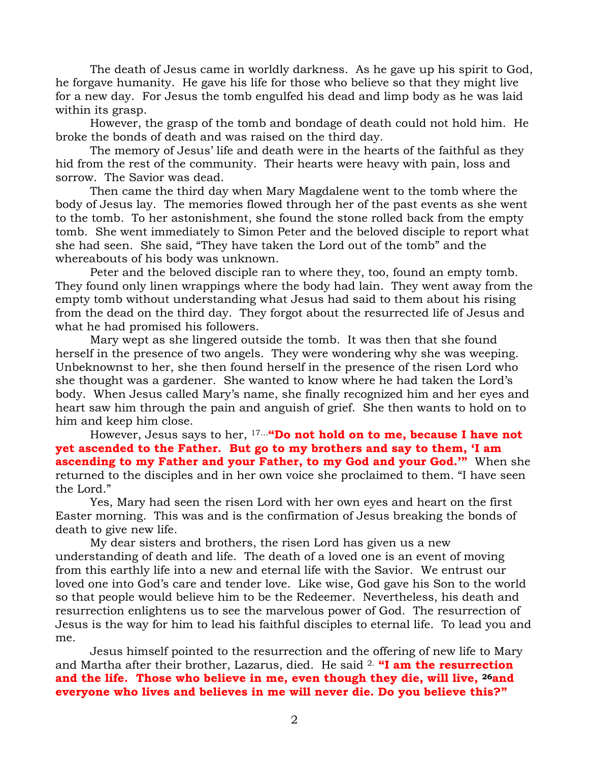The death of Jesus came in worldly darkness. As he gave up his spirit to God, he forgave humanity. He gave his life for those who believe so that they might live for a new day. For Jesus the tomb engulfed his dead and limp body as he was laid within its grasp.

However, the grasp of the tomb and bondage of death could not hold him. He broke the bonds of death and was raised on the third day.

The memory of Jesus' life and death were in the hearts of the faithful as they hid from the rest of the community. Their hearts were heavy with pain, loss and sorrow. The Savior was dead.

Then came the third day when Mary Magdalene went to the tomb where the body of Jesus lay. The memories flowed through her of the past events as she went to the tomb. To her astonishment, she found the stone rolled back from the empty tomb. She went immediately to Simon Peter and the beloved disciple to report what she had seen. She said, "They have taken the Lord out of the tomb" and the whereabouts of his body was unknown.

Peter and the beloved disciple ran to where they, too, found an empty tomb. They found only linen wrappings where the body had lain. They went away from the empty tomb without understanding what Jesus had said to them about his rising from the dead on the third day. They forgot about the resurrected life of Jesus and what he had promised his followers.

Mary wept as she lingered outside the tomb. It was then that she found herself in the presence of two angels. They were wondering why she was weeping. Unbeknownst to her, she then found herself in the presence of the risen Lord who she thought was a gardener. She wanted to know where he had taken the Lord's body. When Jesus called Mary's name, she finally recognized him and her eyes and heart saw him through the pain and anguish of grief. She then wants to hold on to him and keep him close.

However, Jesus says to her, 17…**"Do not hold on to me, because I have not yet ascended to the Father. But go to my brothers and say to them, 'I am ascending to my Father and your Father, to my God and your God.'"** When she returned to the disciples and in her own voice she proclaimed to them. "I have seen the Lord."

Yes, Mary had seen the risen Lord with her own eyes and heart on the first Easter morning. This was and is the confirmation of Jesus breaking the bonds of death to give new life.

My dear sisters and brothers, the risen Lord has given us a new understanding of death and life. The death of a loved one is an event of moving from this earthly life into a new and eternal life with the Savior. We entrust our loved one into God's care and tender love. Like wise, God gave his Son to the world so that people would believe him to be the Redeemer. Nevertheless, his death and resurrection enlightens us to see the marvelous power of God. The resurrection of Jesus is the way for him to lead his faithful disciples to eternal life. To lead you and me.

Jesus himself pointed to the resurrection and the offering of new life to Mary and Martha after their brother, Lazarus, died. He said 2. **"I am the resurrection and the life. Those who believe in me, even though they die, will live, <sup>26</sup>and everyone who lives and believes in me will never die. Do you believe this?"**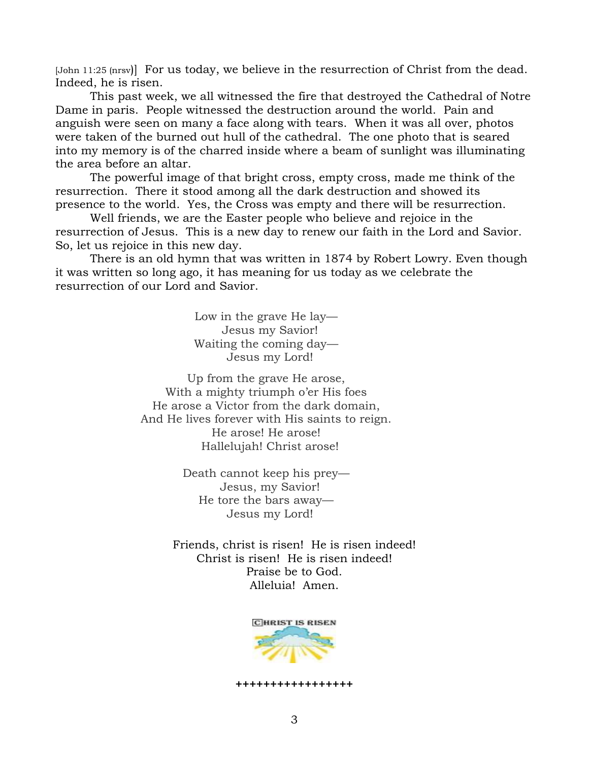[John 11:25 (nrsv]] For us today, we believe in the resurrection of Christ from the dead. Indeed, he is risen.

This past week, we all witnessed the fire that destroyed the Cathedral of Notre Dame in paris. People witnessed the destruction around the world. Pain and anguish were seen on many a face along with tears. When it was all over, photos were taken of the burned out hull of the cathedral. The one photo that is seared into my memory is of the charred inside where a beam of sunlight was illuminating the area before an altar.

The powerful image of that bright cross, empty cross, made me think of the resurrection. There it stood among all the dark destruction and showed its presence to the world. Yes, the Cross was empty and there will be resurrection.

Well friends, we are the Easter people who believe and rejoice in the resurrection of Jesus. This is a new day to renew our faith in the Lord and Savior. So, let us rejoice in this new day.

There is an old hymn that was written in 1874 by Robert Lowry. Even though it was written so long ago, it has meaning for us today as we celebrate the resurrection of our Lord and Savior.

> Low in the grave He lay— Jesus my Savior! Waiting the coming day— Jesus my Lord!

Up from the grave He arose, With a mighty triumph o'er His foes He arose a Victor from the dark domain, And He lives forever with His saints to reign. He arose! He arose! Hallelujah! Christ arose!

> Death cannot keep his prey— Jesus, my Savior! He tore the bars away— Jesus my Lord!

Friends, christ is risen! He is risen indeed! Christ is risen! He is risen indeed! Praise be to God. Alleluia! Amen.



**+++++++++++++++++**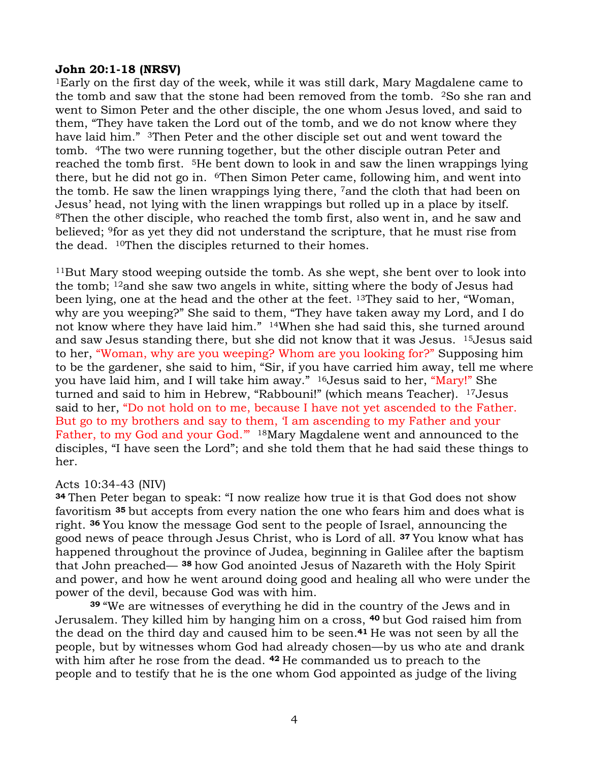## **John 20:1-18 (NRSV)**

<sup>1</sup>Early on the first day of the week, while it was still dark, Mary Magdalene came to the tomb and saw that the stone had been removed from the tomb. <sup>2</sup>So she ran and went to Simon Peter and the other disciple, the one whom Jesus loved, and said to them, "They have taken the Lord out of the tomb, and we do not know where they have laid him." <sup>3</sup>Then Peter and the other disciple set out and went toward the tomb. <sup>4</sup>The two were running together, but the other disciple outran Peter and reached the tomb first. <sup>5</sup>He bent down to look in and saw the linen wrappings lying there, but he did not go in. <sup>6</sup>Then Simon Peter came, following him, and went into the tomb. He saw the linen wrappings lying there, <sup>7</sup>and the cloth that had been on Jesus' head, not lying with the linen wrappings but rolled up in a place by itself. <sup>8</sup>Then the other disciple, who reached the tomb first, also went in, and he saw and believed; <sup>9</sup>for as yet they did not understand the scripture, that he must rise from the dead. <sup>10</sup>Then the disciples returned to their homes.

<sup>11</sup>But Mary stood weeping outside the tomb. As she wept, she bent over to look into the tomb; <sup>12</sup>and she saw two angels in white, sitting where the body of Jesus had been lying, one at the head and the other at the feet. <sup>13</sup>They said to her, "Woman, why are you weeping?" She said to them, "They have taken away my Lord, and I do not know where they have laid him." <sup>14</sup>When she had said this, she turned around and saw Jesus standing there, but she did not know that it was Jesus. <sup>15</sup>Jesus said to her, "Woman, why are you weeping? Whom are you looking for?" Supposing him to be the gardener, she said to him, "Sir, if you have carried him away, tell me where you have laid him, and I will take him away." <sup>16</sup>Jesus said to her, "Mary!" She turned and said to him in Hebrew, "Rabbouni!" (which means Teacher). <sup>17</sup>Jesus said to her, "Do not hold on to me, because I have not yet ascended to the Father. But go to my brothers and say to them, 'I am ascending to my Father and your Father, to my God and your God." <sup>18</sup>Mary Magdalene went and announced to the disciples, "I have seen the Lord"; and she told them that he had said these things to her.

## Acts 10:34-43 (NIV)

**<sup>34</sup>** Then Peter began to speak: "I now realize how true it is that God does not show favoritism **<sup>35</sup>** but accepts from every nation the one who fears him and does what is right. **<sup>36</sup>** You know the message God sent to the people of Israel, announcing the good news of peace through Jesus Christ, who is Lord of all. **<sup>37</sup>** You know what has happened throughout the province of Judea, beginning in Galilee after the baptism that John preached— **<sup>38</sup>** how God anointed Jesus of Nazareth with the Holy Spirit and power, and how he went around doing good and healing all who were under the power of the devil, because God was with him.

**<sup>39</sup>** "We are witnesses of everything he did in the country of the Jews and in Jerusalem. They killed him by hanging him on a cross, **<sup>40</sup>** but God raised him from the dead on the third day and caused him to be seen.**<sup>41</sup>** He was not seen by all the people, but by witnesses whom God had already chosen—by us who ate and drank with him after he rose from the dead. **<sup>42</sup>** He commanded us to preach to the people and to testify that he is the one whom God appointed as judge of the living